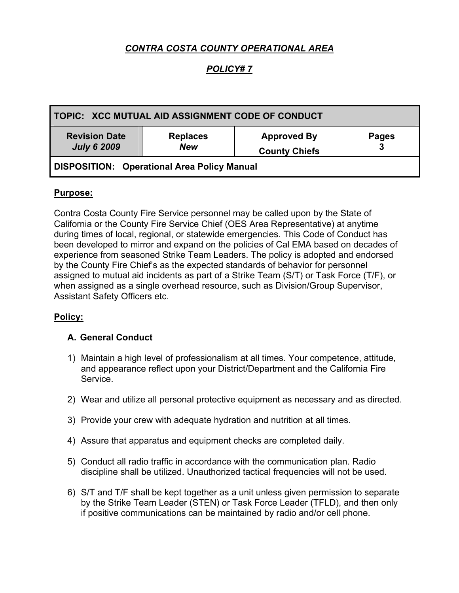# *CONTRA COSTA COUNTY OPERATIONAL AREA*

## *POLICY# 7*

| TOPIC: XCC MUTUAL AID ASSIGNMENT CODE OF CONDUCT   |                               |                                            |              |
|----------------------------------------------------|-------------------------------|--------------------------------------------|--------------|
| <b>Revision Date</b><br><b>July 6 2009</b>         | <b>Replaces</b><br><b>New</b> | <b>Approved By</b><br><b>County Chiefs</b> | <b>Pages</b> |
| <b>DISPOSITION: Operational Area Policy Manual</b> |                               |                                            |              |

#### **Purpose:**

Contra Costa County Fire Service personnel may be called upon by the State of California or the County Fire Service Chief (OES Area Representative) at anytime during times of local, regional, or statewide emergencies. This Code of Conduct has been developed to mirror and expand on the policies of Cal EMA based on decades of experience from seasoned Strike Team Leaders. The policy is adopted and endorsed by the County Fire Chief's as the expected standards of behavior for personnel assigned to mutual aid incidents as part of a Strike Team (S/T) or Task Force (T/F), or when assigned as a single overhead resource, such as Division/Group Supervisor, Assistant Safety Officers etc.

#### **Policy:**

#### **A. General Conduct**

- 1) Maintain a high level of professionalism at all times. Your competence, attitude, and appearance reflect upon your District/Department and the California Fire Service.
- 2) Wear and utilize all personal protective equipment as necessary and as directed.
- 3) Provide your crew with adequate hydration and nutrition at all times.
- 4) Assure that apparatus and equipment checks are completed daily.
- 5) Conduct all radio traffic in accordance with the communication plan. Radio discipline shall be utilized. Unauthorized tactical frequencies will not be used.
- 6) S/T and T/F shall be kept together as a unit unless given permission to separate by the Strike Team Leader (STEN) or Task Force Leader (TFLD), and then only if positive communications can be maintained by radio and/or cell phone.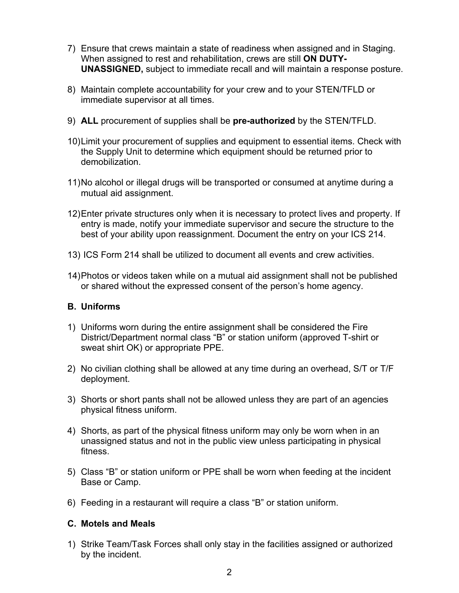- 7) Ensure that crews maintain a state of readiness when assigned and in Staging. When assigned to rest and rehabilitation, crews are still **ON DUTY-UNASSIGNED,** subject to immediate recall and will maintain a response posture.
- 8) Maintain complete accountability for your crew and to your STEN/TFLD or immediate supervisor at all times.
- 9) **ALL** procurement of supplies shall be **pre-authorized** by the STEN/TFLD.
- 10) Limit your procurement of supplies and equipment to essential items. Check with the Supply Unit to determine which equipment should be returned prior to demobilization.
- 11) No alcohol or illegal drugs will be transported or consumed at anytime during a mutual aid assignment.
- 12) Enter private structures only when it is necessary to protect lives and property. If entry is made, notify your immediate supervisor and secure the structure to the best of your ability upon reassignment. Document the entry on your ICS 214.
- 13) ICS Form 214 shall be utilized to document all events and crew activities.
- 14) Photos or videos taken while on a mutual aid assignment shall not be published or shared without the expressed consent of the person's home agency.

### **B. Uniforms**

- 1) Uniforms worn during the entire assignment shall be considered the Fire District/Department normal class "B" or station uniform (approved T-shirt or sweat shirt OK) or appropriate PPE.
- 2) No civilian clothing shall be allowed at any time during an overhead, S/T or T/F deployment.
- 3) Shorts or short pants shall not be allowed unless they are part of an agencies physical fitness uniform.
- 4) Shorts, as part of the physical fitness uniform may only be worn when in an unassigned status and not in the public view unless participating in physical fitness.
- 5) Class "B" or station uniform or PPE shall be worn when feeding at the incident Base or Camp.
- 6) Feeding in a restaurant will require a class "B" or station uniform.

#### **C. Motels and Meals**

1) Strike Team/Task Forces shall only stay in the facilities assigned or authorized by the incident.